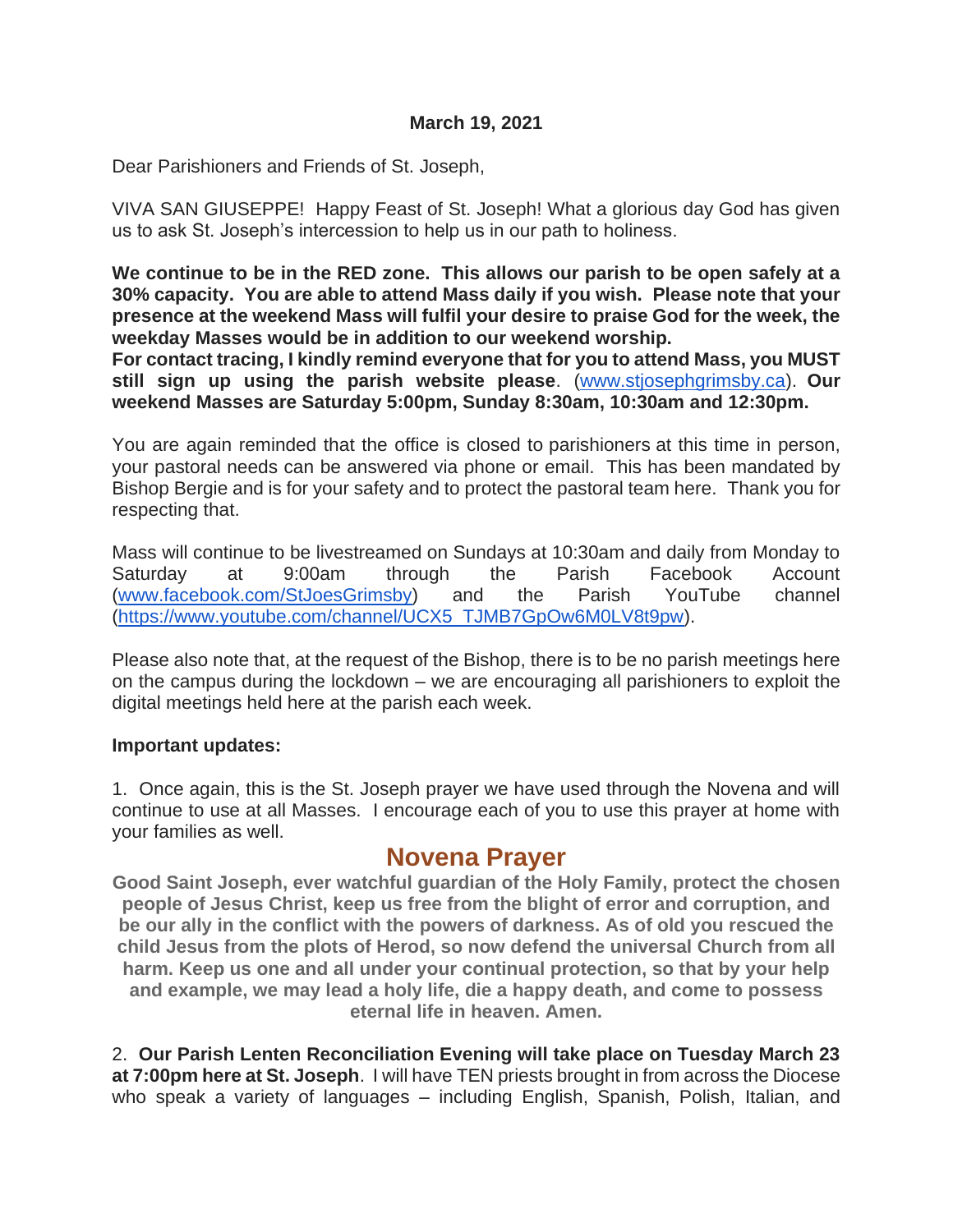Dear Parishioners and Friends of St. Joseph,

VIVA SAN GIUSEPPE! Happy Feast of St. Joseph! What a glorious day God has given us to ask St. Joseph's intercession to help us in our path to holiness.

**We continue to be in the RED zone. This allows our parish to be open safely at a 30% capacity. You are able to attend Mass daily if you wish. Please note that your presence at the weekend Mass will fulfil your desire to praise God for the week, the weekday Masses would be in addition to our weekend worship.**

**For contact tracing, I kindly remind everyone that for you to attend Mass, you MUST still sign up using the parish website please**. [\(www.stjosephgrimsby.ca\)](http://www.stjosephgrimsby.ca/). **Our weekend Masses are Saturday 5:00pm, Sunday 8:30am, 10:30am and 12:30pm.** 

You are again reminded that the office is closed to parishioners at this time in person, your pastoral needs can be answered via phone or email. This has been mandated by Bishop Bergie and is for your safety and to protect the pastoral team here. Thank you for respecting that.

Mass will continue to be livestreamed on Sundays at 10:30am and daily from Monday to Saturday at 9:00am through the Parish Facebook Account [\(www.facebook.com/StJoesGrimsby\)](http://www.facebook.com/StJoesGrimsby) and the Parish YouTube channel [\(https://www.youtube.com/channel/UCX5\\_TJMB7GpOw6M0LV8t9pw\)](https://www.youtube.com/channel/UCX5_TJMB7GpOw6M0LV8t9pw).

Please also note that, at the request of the Bishop, there is to be no parish meetings here on the campus during the lockdown – we are encouraging all parishioners to exploit the digital meetings held here at the parish each week.

#### **Important updates:**

1. Once again, this is the St. Joseph prayer we have used through the Novena and will continue to use at all Masses. I encourage each of you to use this prayer at home with your families as well.

# **Novena Prayer**

**Good Saint Joseph, ever watchful guardian of the Holy Family, protect the chosen people of Jesus Christ, keep us free from the blight of error and corruption, and be our ally in the conflict with the powers of darkness. As of old you rescued the child Jesus from the plots of Herod, so now defend the universal Church from all harm. Keep us one and all under your continual protection, so that by your help and example, we may lead a holy life, die a happy death, and come to possess eternal life in heaven. Amen.**

2. **Our Parish Lenten Reconciliation Evening will take place on Tuesday March 23 at 7:00pm here at St. Joseph**. I will have TEN priests brought in from across the Diocese who speak a variety of languages – including English, Spanish, Polish, Italian, and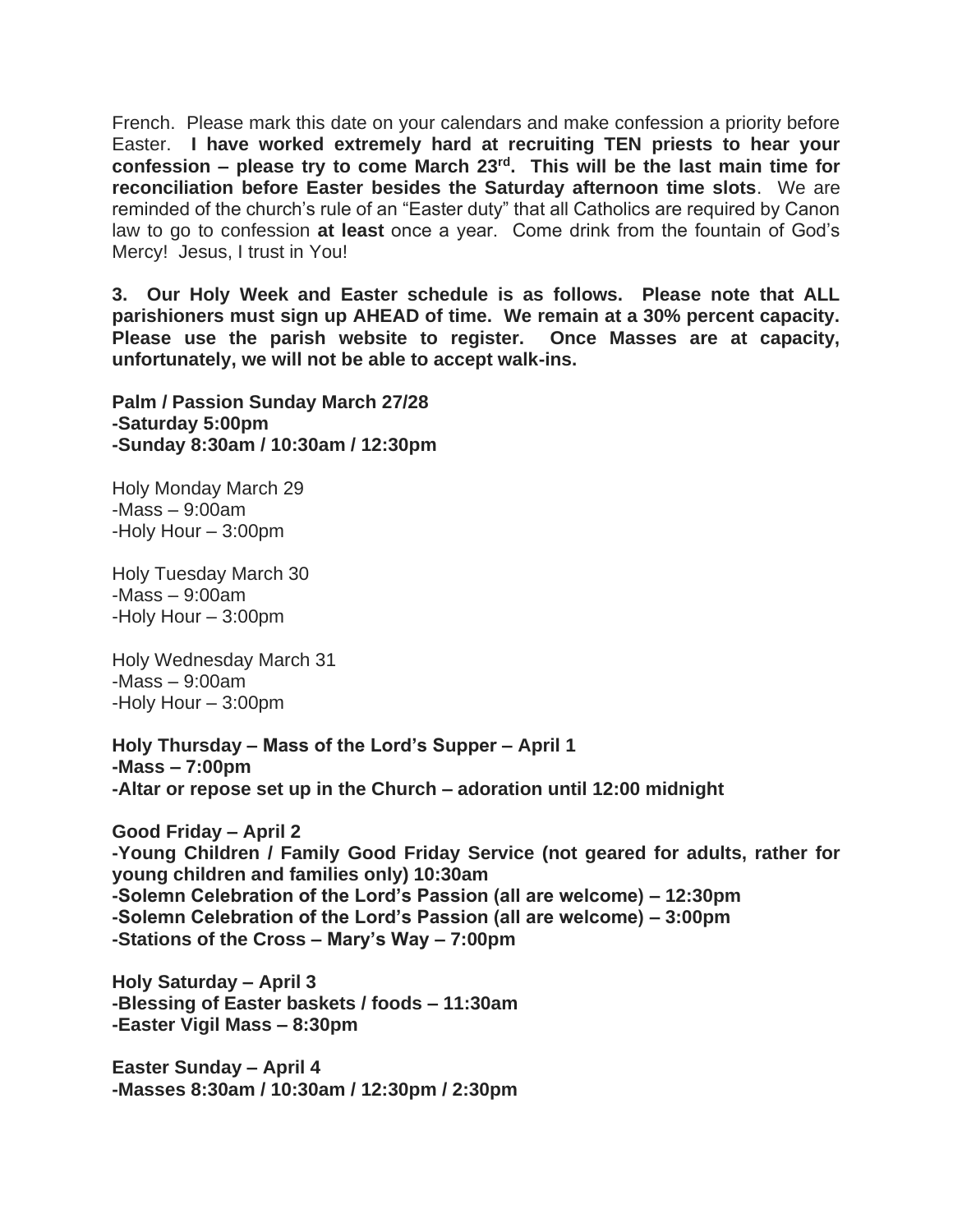French. Please mark this date on your calendars and make confession a priority before Easter. **I have worked extremely hard at recruiting TEN priests to hear your confession – please try to come March 23rd. This will be the last main time for reconciliation before Easter besides the Saturday afternoon time slots**. We are reminded of the church's rule of an "Easter duty" that all Catholics are required by Canon law to go to confession **at least** once a year. Come drink from the fountain of God's Mercy! Jesus, I trust in You!

**3. Our Holy Week and Easter schedule is as follows. Please note that ALL parishioners must sign up AHEAD of time. We remain at a 30% percent capacity. Please use the parish website to register. Once Masses are at capacity, unfortunately, we will not be able to accept walk-ins.**

**Palm / Passion Sunday March 27/28 -Saturday 5:00pm -Sunday 8:30am / 10:30am / 12:30pm**

Holy Monday March 29 -Mass – 9:00am -Holy Hour – 3:00pm

Holy Tuesday March 30 -Mass – 9:00am -Holy Hour – 3:00pm

Holy Wednesday March 31 -Mass – 9:00am -Holy Hour – 3:00pm

**Holy Thursday – Mass of the Lord's Supper – April 1 -Mass – 7:00pm -Altar or repose set up in the Church – adoration until 12:00 midnight**

**Good Friday – April 2 -Young Children / Family Good Friday Service (not geared for adults, rather for young children and families only) 10:30am -Solemn Celebration of the Lord's Passion (all are welcome) – 12:30pm -Solemn Celebration of the Lord's Passion (all are welcome) – 3:00pm -Stations of the Cross – Mary's Way – 7:00pm**

**Holy Saturday – April 3 -Blessing of Easter baskets / foods – 11:30am -Easter Vigil Mass – 8:30pm**

**Easter Sunday – April 4 -Masses 8:30am / 10:30am / 12:30pm / 2:30pm**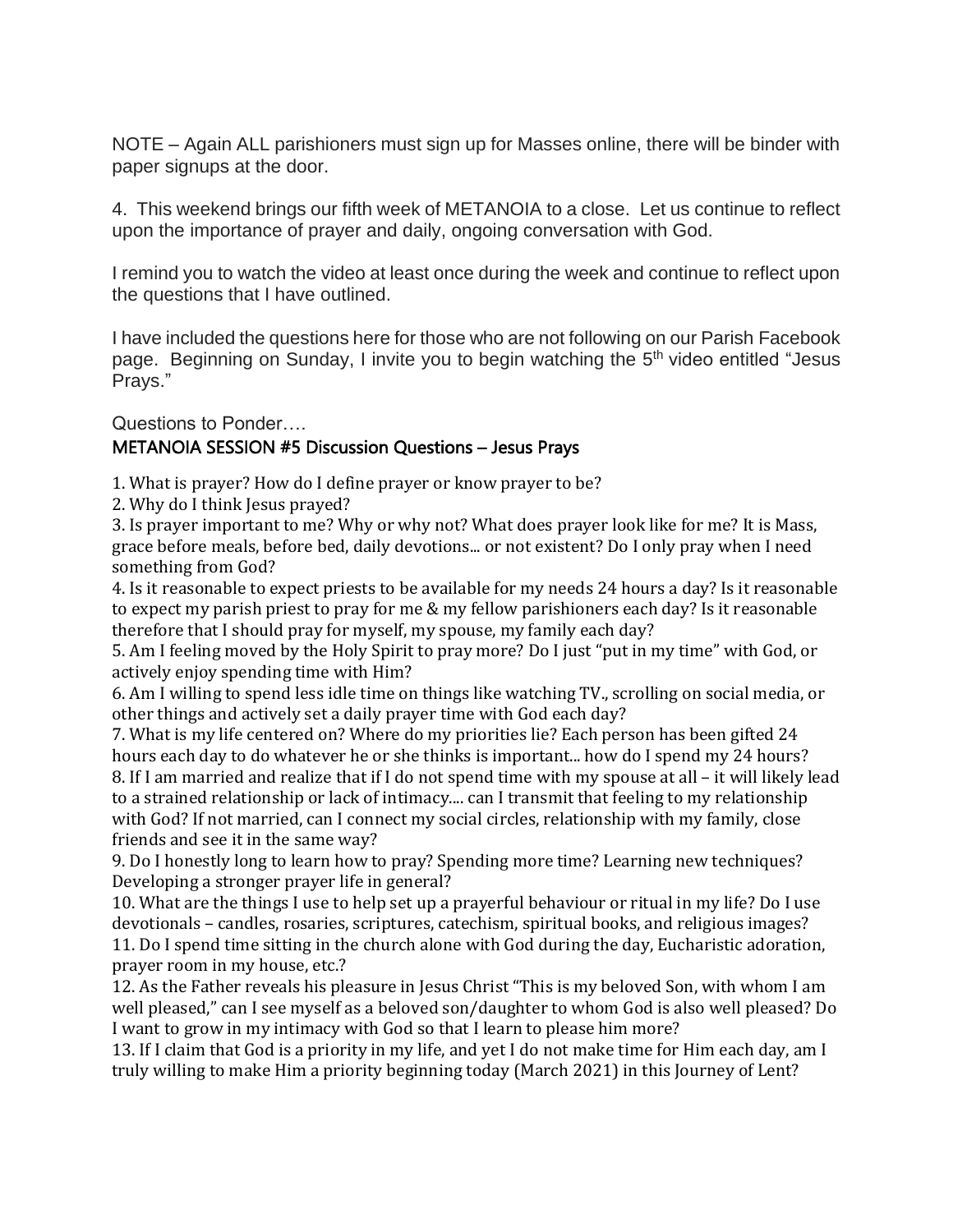NOTE – Again ALL parishioners must sign up for Masses online, there will be binder with paper signups at the door.

4. This weekend brings our fifth week of METANOIA to a close. Let us continue to reflect upon the importance of prayer and daily, ongoing conversation with God.

I remind you to watch the video at least once during the week and continue to reflect upon the questions that I have outlined.

I have included the questions here for those who are not following on our Parish Facebook page. Beginning on Sunday, I invite you to begin watching the 5<sup>th</sup> video entitled "Jesus Prays."

#### Questions to Ponder…. METANOIA SESSION #5 Discussion Questions – Jesus Prays

1. What is prayer? How do I define prayer or know prayer to be?

2. Why do I think Jesus prayed?

3. Is prayer important to me? Why or why not? What does prayer look like for me? It is Mass, grace before meals, before bed, daily devotions... or not existent? Do I only pray when I need something from God?

4. Is it reasonable to expect priests to be available for my needs 24 hours a day? Is it reasonable to expect my parish priest to pray for me & my fellow parishioners each day? Is it reasonable therefore that I should pray for myself, my spouse, my family each day?

5. Am I feeling moved by the Holy Spirit to pray more? Do I just "put in my time" with God, or actively enjoy spending time with Him?

6. Am I willing to spend less idle time on things like watching TV., scrolling on social media, or other things and actively set a daily prayer time with God each day?

7. What is my life centered on? Where do my priorities lie? Each person has been gifted 24 hours each day to do whatever he or she thinks is important... how do I spend my 24 hours?

8. If I am married and realize that if I do not spend time with my spouse at all – it will likely lead to a strained relationship or lack of intimacy.... can I transmit that feeling to my relationship with God? If not married, can I connect my social circles, relationship with my family, close friends and see it in the same way?

9. Do I honestly long to learn how to pray? Spending more time? Learning new techniques? Developing a stronger prayer life in general?

10. What are the things I use to help set up a prayerful behaviour or ritual in my life? Do I use devotionals – candles, rosaries, scriptures, catechism, spiritual books, and religious images? 11. Do I spend time sitting in the church alone with God during the day, Eucharistic adoration, prayer room in my house, etc.?

12. As the Father reveals his pleasure in Jesus Christ "This is my beloved Son, with whom I am well pleased," can I see myself as a beloved son/daughter to whom God is also well pleased? Do I want to grow in my intimacy with God so that I learn to please him more?

13. If I claim that God is a priority in my life, and yet I do not make time for Him each day, am I truly willing to make Him a priority beginning today (March 2021) in this Journey of Lent?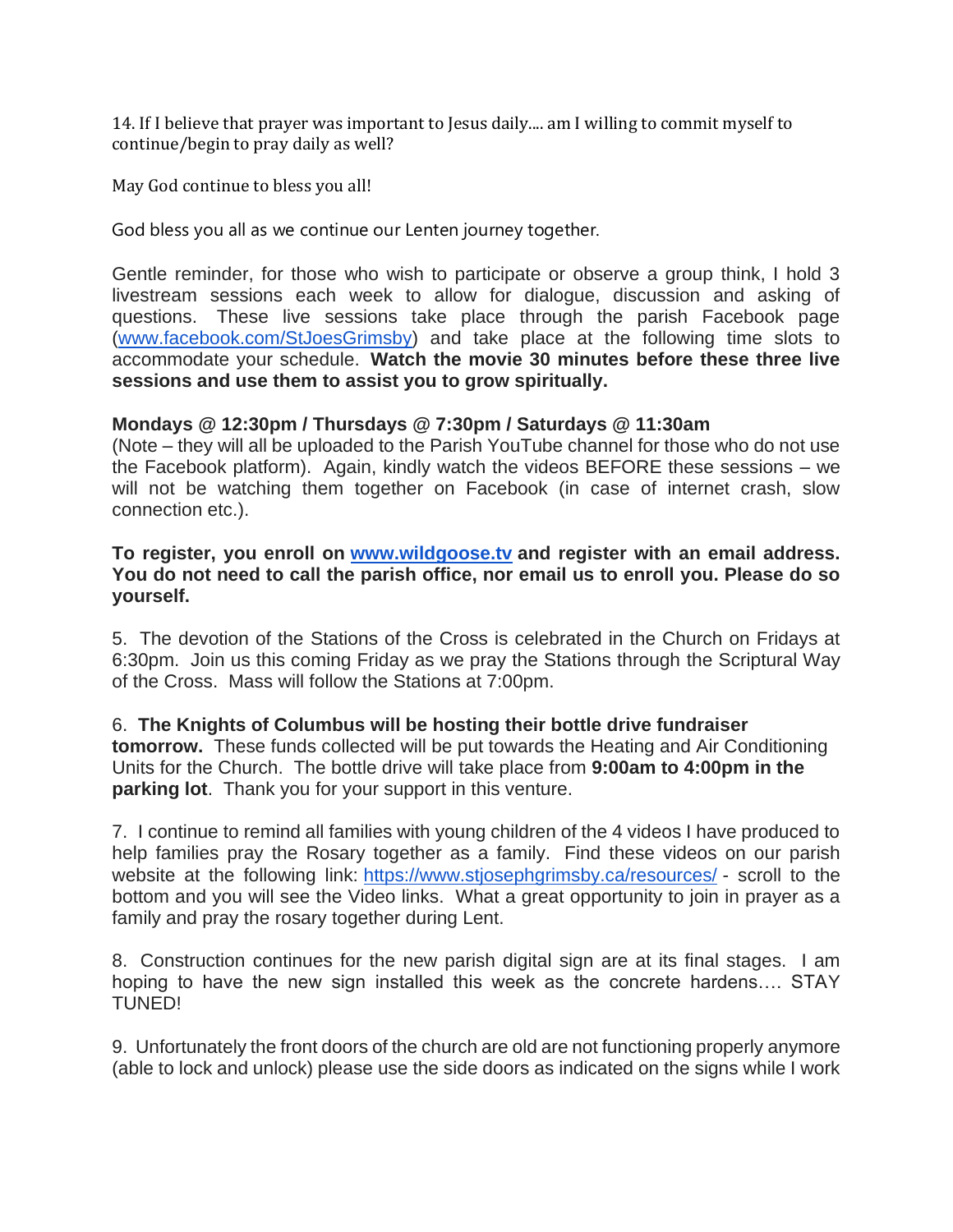14. If I believe that prayer was important to Jesus daily.... am I willing to commit myself to continue/begin to pray daily as well?

May God continue to bless you all!

God bless you all as we continue our Lenten journey together.

Gentle reminder, for those who wish to participate or observe a group think, I hold 3 livestream sessions each week to allow for dialogue, discussion and asking of questions. These live sessions take place through the parish Facebook page [\(www.facebook.com/StJoesGrimsby\)](http://www.facebook.com/StJoesGrimsby) and take place at the following time slots to accommodate your schedule. **Watch the movie 30 minutes before these three live sessions and use them to assist you to grow spiritually.**

### **Mondays @ 12:30pm / Thursdays @ 7:30pm / Saturdays @ 11:30am**

(Note – they will all be uploaded to the Parish YouTube channel for those who do not use the Facebook platform). Again, kindly watch the videos BEFORE these sessions – we will not be watching them together on Facebook (in case of internet crash, slow connection etc.).

**To register, you enroll on [www.wildgoose.tv](http://www.wildgoose.tv/) and register with an email address. You do not need to call the parish office, nor email us to enroll you. Please do so yourself.**

5. The devotion of the Stations of the Cross is celebrated in the Church on Fridays at 6:30pm. Join us this coming Friday as we pray the Stations through the Scriptural Way of the Cross. Mass will follow the Stations at 7:00pm.

#### 6. **The Knights of Columbus will be hosting their bottle drive fundraiser**

**tomorrow.** These funds collected will be put towards the Heating and Air Conditioning Units for the Church. The bottle drive will take place from **9:00am to 4:00pm in the parking lot**. Thank you for your support in this venture.

7. I continue to remind all families with young children of the 4 videos I have produced to help families pray the Rosary together as a family. Find these videos on our parish website at the following link: <https://www.stjosephgrimsby.ca/resources/> - scroll to the bottom and you will see the Video links. What a great opportunity to join in prayer as a family and pray the rosary together during Lent.

8. Construction continues for the new parish digital sign are at its final stages. I am hoping to have the new sign installed this week as the concrete hardens…. STAY TUNED!

9. Unfortunately the front doors of the church are old are not functioning properly anymore (able to lock and unlock) please use the side doors as indicated on the signs while I work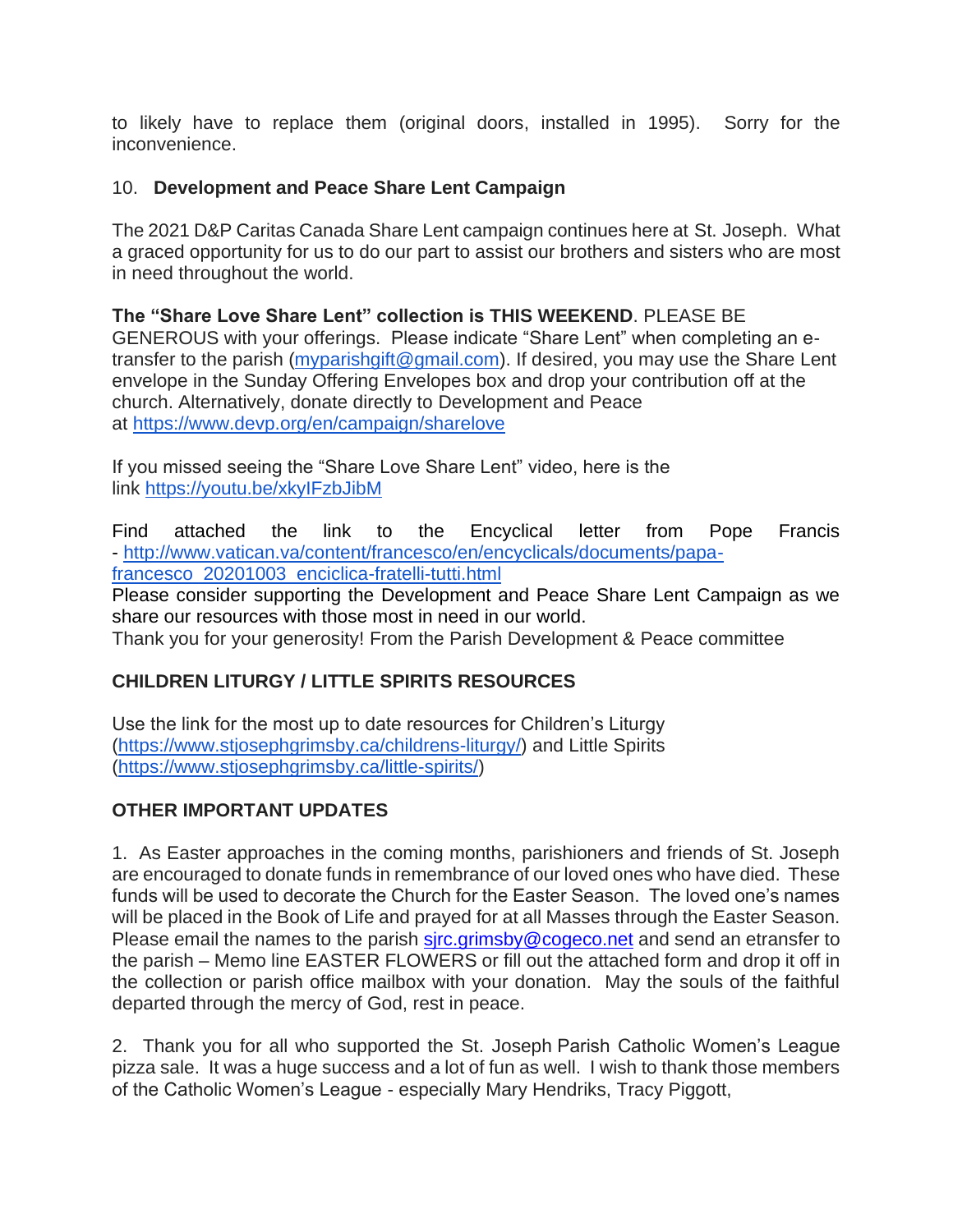to likely have to replace them (original doors, installed in 1995). Sorry for the inconvenience.

## 10. **Development and Peace Share Lent Campaign**

The 2021 D&P Caritas Canada Share Lent campaign continues here at St. Joseph. What a graced opportunity for us to do our part to assist our brothers and sisters who are most in need throughout the world.

**The "Share Love Share Lent" collection is THIS WEEKEND**. PLEASE BE GENEROUS with your offerings. Please indicate "Share Lent" when completing an e-transfer to the parish [\(myparishgift@gmail.com\)](mailto:myparishgift@gmail.com). If desired, you may use the Share Lent envelope in the Sunday Offering Envelopes box and drop your contribution off at the church. Alternatively, donate directly to Development and Peace at <https://www.devp.org/en/campaign/sharelove>

If you missed seeing the "Share Love Share Lent" video, here is the link <https://youtu.be/xkyIFzbJibM>

Find attached the link to the Encyclical letter from Pope Francis - [http://www.vatican.va/content/francesco/en/encyclicals/documents/papa](http://www.vatican.va/content/francesco/en/encyclicals/documents/papa-francesco_20201003_enciclica-fratelli-tutti.html)francesco 20201003 enciclica-fratelli-tutti.html

Please consider supporting the Development and Peace Share Lent Campaign as we share our resources with those most in need in our world.

Thank you for your generosity! From the Parish Development & Peace committee

# **CHILDREN LITURGY / LITTLE SPIRITS RESOURCES**

Use the link for the most up to date resources for Children's Liturgy [\(https://www.stjosephgrimsby.ca/childrens-liturgy/\)](https://www.stjosephgrimsby.ca/childrens-liturgy/) and Little Spirits [\(https://www.stjosephgrimsby.ca/little-spirits/\)](https://www.stjosephgrimsby.ca/little-spirits/)

# **OTHER IMPORTANT UPDATES**

1. As Easter approaches in the coming months, parishioners and friends of St. Joseph are encouraged to donate funds in remembrance of our loved ones who have died. These funds will be used to decorate the Church for the Easter Season. The loved one's names will be placed in the Book of Life and prayed for at all Masses through the Easter Season. Please email the names to the parish sirc.grimsby@cogeco.net and send an etransfer to the parish – Memo line EASTER FLOWERS or fill out the attached form and drop it off in the collection or parish office mailbox with your donation. May the souls of the faithful departed through the mercy of God, rest in peace.

2. Thank you for all who supported the St. Joseph Parish Catholic Women's League pizza sale. It was a huge success and a lot of fun as well. I wish to thank those members of the Catholic Women's League - especially Mary Hendriks, Tracy Piggott,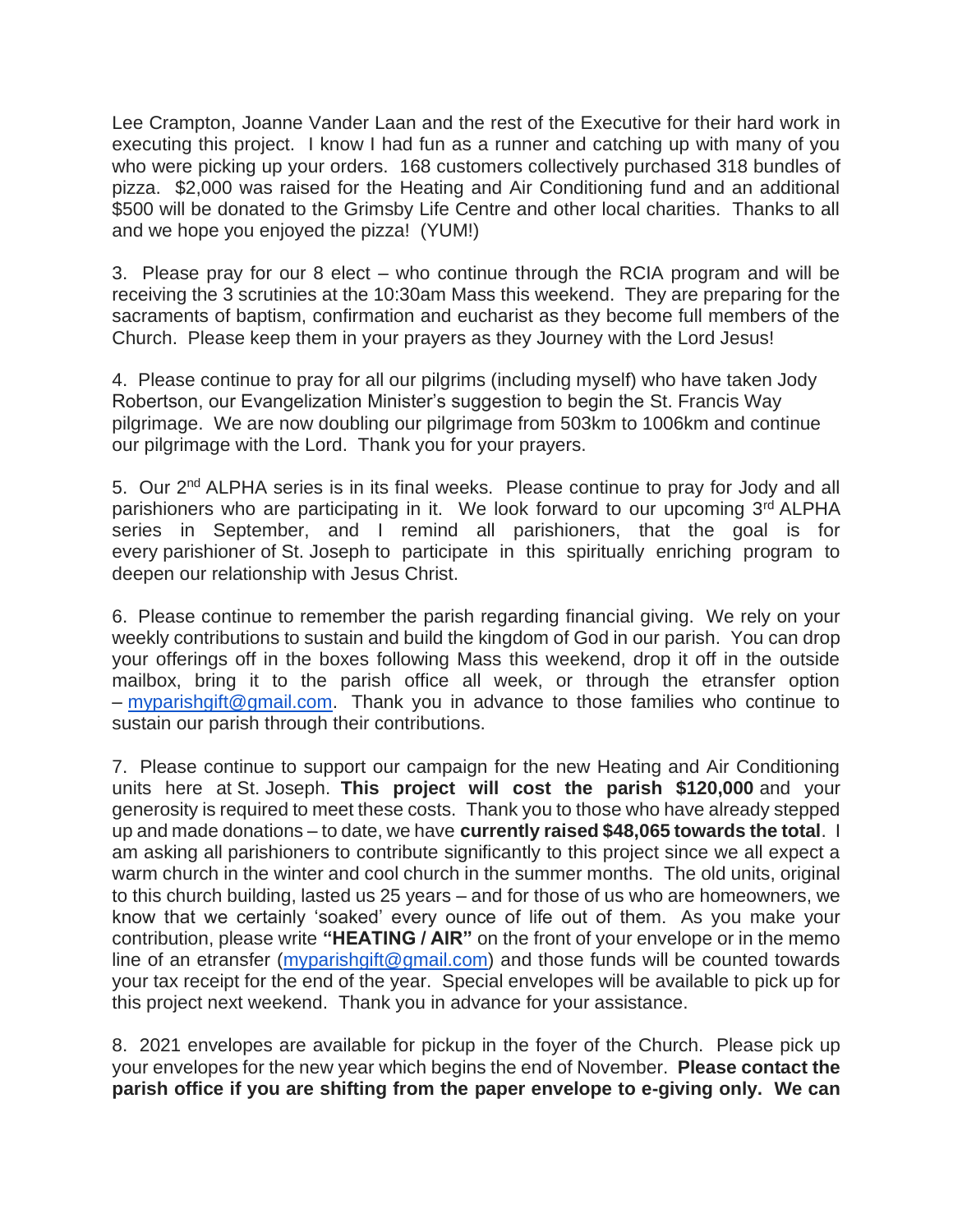Lee Crampton, Joanne Vander Laan and the rest of the Executive for their hard work in executing this project. I know I had fun as a runner and catching up with many of you who were picking up your orders. 168 customers collectively purchased 318 bundles of pizza. \$2,000 was raised for the Heating and Air Conditioning fund and an additional \$500 will be donated to the Grimsby Life Centre and other local charities. Thanks to all and we hope you enjoyed the pizza! (YUM!)

3. Please pray for our 8 elect – who continue through the RCIA program and will be receiving the 3 scrutinies at the 10:30am Mass this weekend. They are preparing for the sacraments of baptism, confirmation and eucharist as they become full members of the Church. Please keep them in your prayers as they Journey with the Lord Jesus!

4. Please continue to pray for all our pilgrims (including myself) who have taken Jody Robertson, our Evangelization Minister's suggestion to begin the St. Francis Way pilgrimage. We are now doubling our pilgrimage from 503km to 1006km and continue our pilgrimage with the Lord. Thank you for your prayers.

5. Our 2<sup>nd</sup> ALPHA series is in its final weeks. Please continue to pray for Jody and all parishioners who are participating in it. We look forward to our upcoming 3rd ALPHA series in September, and I remind all parishioners, that the goal is for every parishioner of St. Joseph to participate in this spiritually enriching program to deepen our relationship with Jesus Christ.

6. Please continue to remember the parish regarding financial giving. We rely on your weekly contributions to sustain and build the kingdom of God in our parish. You can drop your offerings off in the boxes following Mass this weekend, drop it off in the outside mailbox, bring it to the parish office all week, or through the etransfer option – [myparishgift@gmail.com.](mailto:myparishgift@gmail.com) Thank you in advance to those families who continue to sustain our parish through their contributions.

7. Please continue to support our campaign for the new Heating and Air Conditioning units here at St. Joseph. **This project will cost the parish \$120,000** and your generosity is required to meet these costs. Thank you to those who have already stepped up and made donations – to date, we have **currently raised \$48,065 towards the total**. I am asking all parishioners to contribute significantly to this project since we all expect a warm church in the winter and cool church in the summer months. The old units, original to this church building, lasted us 25 years – and for those of us who are homeowners, we know that we certainly 'soaked' every ounce of life out of them. As you make your contribution, please write **"HEATING / AIR"** on the front of your envelope or in the memo line of an etransfer [\(myparishgift@gmail.com\)](mailto:myparishgift@gmail.com) and those funds will be counted towards your tax receipt for the end of the year. Special envelopes will be available to pick up for this project next weekend. Thank you in advance for your assistance.

8. 2021 envelopes are available for pickup in the foyer of the Church. Please pick up your envelopes for the new year which begins the end of November. **Please contact the parish office if you are shifting from the paper envelope to e-giving only. We can**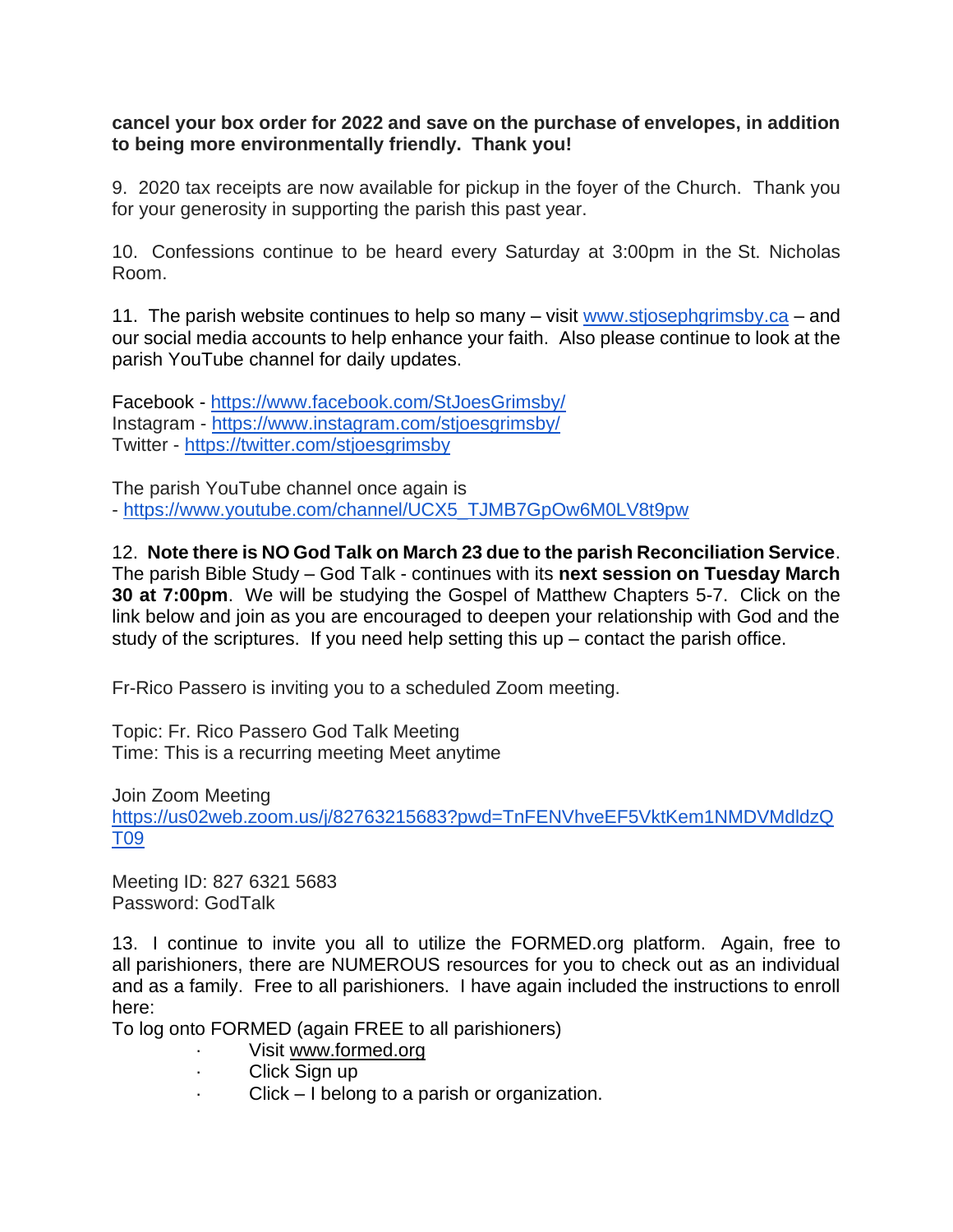## **cancel your box order for 2022 and save on the purchase of envelopes, in addition to being more environmentally friendly. Thank you!**

9. 2020 tax receipts are now available for pickup in the foyer of the Church. Thank you for your generosity in supporting the parish this past year.

10. Confessions continue to be heard every Saturday at 3:00pm in the St. Nicholas Room.

11. The parish website continues to help so many  $-$  visit [www.stjosephgrimsby.ca](http://www.stjosephgrimsby.ca/)  $-$  and our social media accounts to help enhance your faith. Also please continue to look at the parish YouTube channel for daily updates.

Facebook - <https://www.facebook.com/StJoesGrimsby/> Instagram - <https://www.instagram.com/stjoesgrimsby/> Twitter - <https://twitter.com/stjoesgrimsby>

The parish YouTube channel once again is - [https://www.youtube.com/channel/UCX5\\_TJMB7GpOw6M0LV8t9pw](https://www.youtube.com/channel/UCX5_TJMB7GpOw6M0LV8t9pw)

12. **Note there is NO God Talk on March 23 due to the parish Reconciliation Service**. The parish Bible Study – God Talk - continues with its **next session on Tuesday March 30 at 7:00pm**. We will be studying the Gospel of Matthew Chapters 5-7. Click on the link below and join as you are encouraged to deepen your relationship with God and the study of the scriptures. If you need help setting this up – contact the parish office.

Fr-Rico Passero is inviting you to a scheduled Zoom meeting.

Topic: Fr. Rico Passero God Talk Meeting Time: This is a recurring meeting Meet anytime

Join Zoom Meeting [https://us02web.zoom.us/j/82763215683?pwd=TnFENVhveEF5VktKem1NMDVMdldzQ](https://us02web.zoom.us/j/82763215683?pwd=TnFENVhveEF5VktKem1NMDVMdldzQT09) [T09](https://us02web.zoom.us/j/82763215683?pwd=TnFENVhveEF5VktKem1NMDVMdldzQT09)

Meeting ID: 827 6321 5683 Password: GodTalk

13. I continue to invite you all to utilize the FORMED.org platform. Again, free to all parishioners, there are NUMEROUS resources for you to check out as an individual and as a family. Free to all parishioners. I have again included the instructions to enroll here:

To log onto FORMED (again FREE to all parishioners)

- Visit [www.formed.org](http://www.formed.org/)
- · Click Sign up
- · Click I belong to a parish or organization.